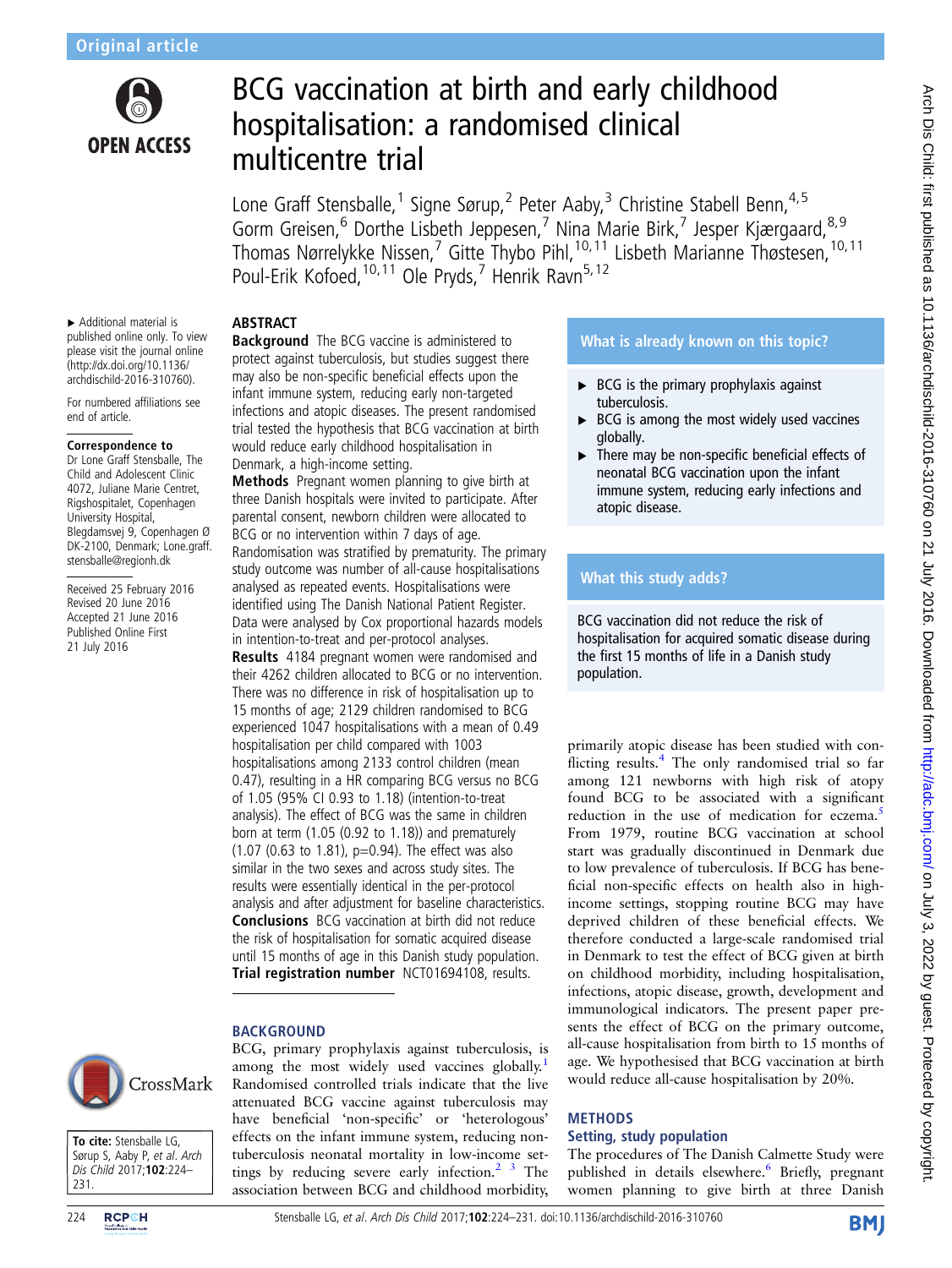

# BCG vaccination at birth and early childhood hospitalisation: a randomised clinical multicentre trial

Lone Graff Stensballe,<sup>1</sup> Signe Sørup,<sup>2</sup> Peter Aaby,<sup>3</sup> Christine Stabell Benn,<sup>4,5</sup> Gorm Greisen,<sup>6</sup> Dorthe Lisbeth Jeppesen,<sup>7</sup> Nina Marie Birk,<sup>7</sup> Jesper Kjærgaard,<sup>8,9</sup> Thomas Nørrelykke Nissen,<sup>7</sup> Gitte Thybo Pihl,<sup>10,11</sup> Lisbeth Marianne Thøstesen,<sup>10,11</sup> Poul-Erik Kofoed, <sup>10, 11</sup> Ole Pryds, 7 Henrik Ravn<sup>5, 12</sup>

# **ABSTRACT**

▸ Additional material is published online only. To view please visit the journal online [\(http://dx.doi.org/10.1136/](http://dx.doi.org/10.1136/archdischild-2016-310760) [archdischild-2016-310760](http://dx.doi.org/10.1136/archdischild-2016-310760)).

For numbered affiliations see end of article.

#### Correspondence to

Dr Lone Graff Stensballe, The Child and Adolescent Clinic 4072, Juliane Marie Centret, Rigshospitalet, Copenhagen University Hospital, Blegdamsvej 9, Copenhagen Ø DK-2100, Denmark; Lone.graff. stensballe@regionh.dk

Received 25 February 2016 Revised 20 June 2016 Accepted 21 June 2016 Published Online First 21 July 2016

**Background** The BCG vaccine is administered to protect against tuberculosis, but studies suggest there may also be non-specific beneficial effects upon the infant immune system, reducing early non-targeted infections and atopic diseases. The present randomised trial tested the hypothesis that BCG vaccination at birth would reduce early childhood hospitalisation in Denmark, a high-income setting.

**Methods** Pregnant women planning to give birth at three Danish hospitals were invited to participate. After parental consent, newborn children were allocated to BCG or no intervention within 7 days of age. Randomisation was stratified by prematurity. The primary study outcome was number of all-cause hospitalisations analysed as repeated events. Hospitalisations were identified using The Danish National Patient Register. Data were analysed by Cox proportional hazards models in intention-to-treat and per-protocol analyses.

Results 4184 pregnant women were randomised and their 4262 children allocated to BCG or no intervention. There was no difference in risk of hospitalisation up to 15 months of age; 2129 children randomised to BCG experienced 1047 hospitalisations with a mean of 0.49 hospitalisation per child compared with 1003 hospitalisations among 2133 control children (mean 0.47), resulting in a HR comparing BCG versus no BCG of 1.05 (95% CI 0.93 to 1.18) (intention-to-treat analysis). The effect of BCG was the same in children born at term (1.05 (0.92 to 1.18)) and prematurely (1.07 (0.63 to 1.81), p=0.94). The effect was also similar in the two sexes and across study sites. The results were essentially identical in the per-protocol analysis and after adjustment for baseline characteristics. Conclusions BCG vaccination at birth did not reduce the risk of hospitalisation for somatic acquired disease until 15 months of age in this Danish study population. Trial registration number NCT01694108, results.

## BACKGROUND



To cite: Stensballe LG, Sørup S, Aaby P, et al. Arch Dis Child 2017;102:224– 231.

BCG, primary prophylaxis against tuberculosis, is among the most widely used vaccines globally.<sup>[1](#page-6-0)</sup> Randomised controlled trials indicate that the live attenuated BCG vaccine against tuberculosis may have beneficial 'non-specific' or 'heterologous' effects on the infant immune system, reducing nontuberculosis neonatal mortality in low-income settings by reducing severe early infection. $2<sup>3</sup>$  The association between BCG and childhood morbidity,

# What is already known on this topic?

- $\triangleright$  BCG is the primary prophylaxis against tuberculosis.
- $\triangleright$  BCG is among the most widely used vaccines globally.
- ▶ There may be non-specific beneficial effects of neonatal BCG vaccination upon the infant immune system, reducing early infections and atopic disease.

# What this study adds?

BCG vaccination did not reduce the risk of hospitalisation for acquired somatic disease during the first 15 months of life in a Danish study population.

primarily atopic disease has been studied with conflicting results.[4](#page-6-0) The only randomised trial so far among 121 newborns with high risk of atopy found BCG to be associated with a significant reduction in the use of medication for eczema.<sup>[5](#page-6-0)</sup> From 1979, routine BCG vaccination at school start was gradually discontinued in Denmark due to low prevalence of tuberculosis. If BCG has beneficial non-specific effects on health also in highincome settings, stopping routine BCG may have deprived children of these beneficial effects. We therefore conducted a large-scale randomised trial in Denmark to test the effect of BCG given at birth on childhood morbidity, including hospitalisation, infections, atopic disease, growth, development and immunological indicators. The present paper presents the effect of BCG on the primary outcome, all-cause hospitalisation from birth to 15 months of age. We hypothesised that BCG vaccination at birth would reduce all-cause hospitalisation by 20%.

# **METHODS**

# Setting, study population

The procedures of The Danish Calmette Study were published in details elsewhere.<sup>[6](#page-6-0)</sup> Briefly, pregnant women planning to give birth at three Danish

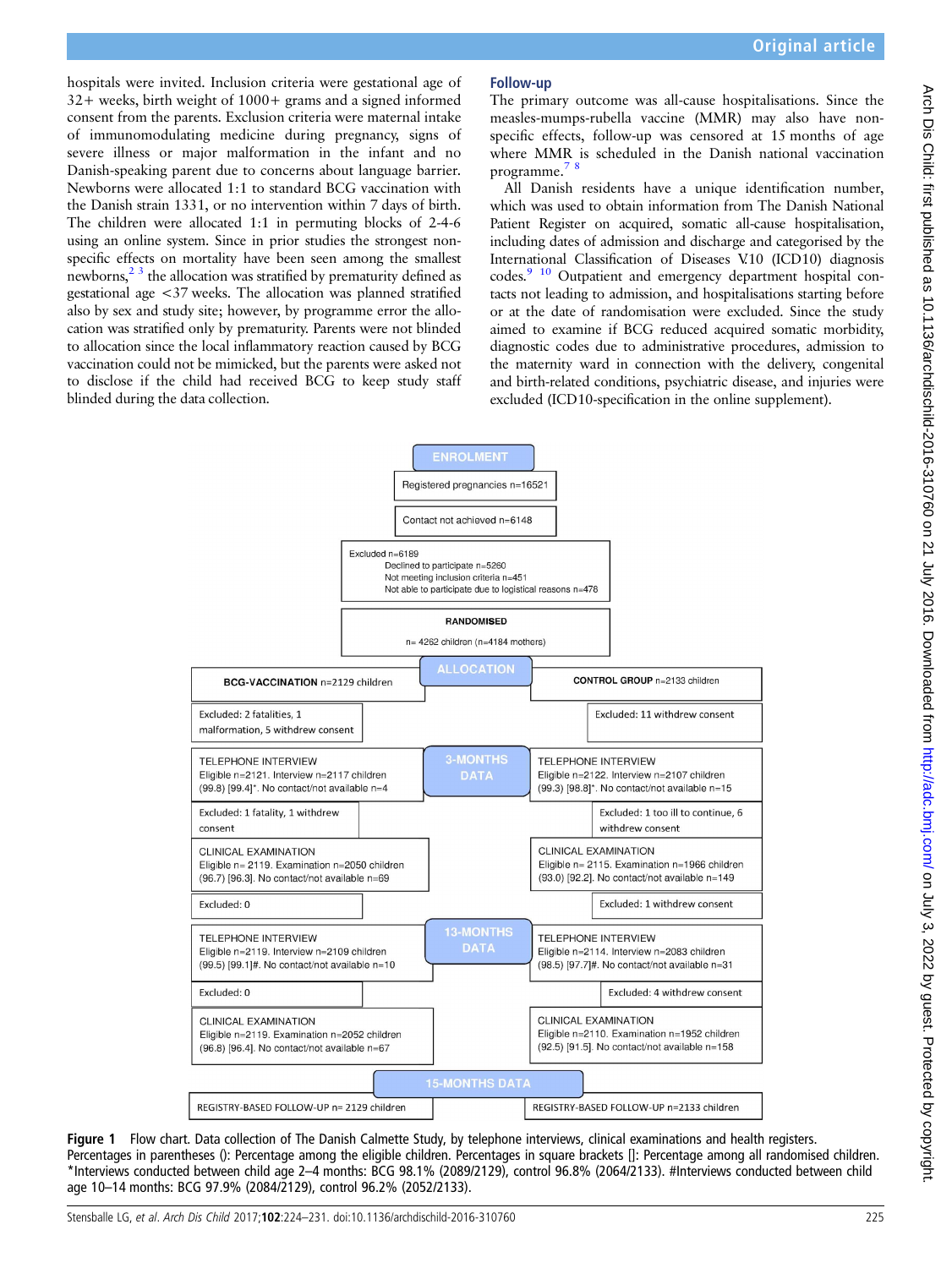<span id="page-1-0"></span>hospitals were invited. Inclusion criteria were gestational age of 32+ weeks, birth weight of 1000+ grams and a signed informed consent from the parents. Exclusion criteria were maternal intake of immunomodulating medicine during pregnancy, signs of severe illness or major malformation in the infant and no Danish-speaking parent due to concerns about language barrier. Newborns were allocated 1:1 to standard BCG vaccination with the Danish strain 1331, or no intervention within 7 days of birth. The children were allocated 1:1 in permuting blocks of 2-4-6 using an online system. Since in prior studies the strongest nonspecific effects on mortality have been seen among the smallest newborns, $^{23}$  the allocation was stratified by prematurity defined as gestational age <37 weeks. The allocation was planned stratified also by sex and study site; however, by programme error the allocation was stratified only by prematurity. Parents were not blinded to allocation since the local inflammatory reaction caused by BCG vaccination could not be mimicked, but the parents were asked not to disclose if the child had received BCG to keep study staff blinded during the data collection.

### Follow-up

The primary outcome was all-cause hospitalisations. Since the measles-mumps-rubella vaccine (MMR) may also have nonspecific effects, follow-up was censored at 15 months of age where MMR is scheduled in the Danish national vaccination programme.[7 8](#page-6-0)

All Danish residents have a unique identification number, which was used to obtain information from The Danish National Patient Register on acquired, somatic all-cause hospitalisation, including dates of admission and discharge and categorised by the International Classification of Diseases V.10 (ICD10) diagnosis codes.<sup>9</sup> <sup>10</sup> Outpatient and emergency department hospital contacts not leading to admission, and hospitalisations starting before or at the date of randomisation were excluded. Since the study aimed to examine if BCG reduced acquired somatic morbidity, diagnostic codes due to administrative procedures, admission to the maternity ward in connection with the delivery, congenital and birth-related conditions, psychiatric disease, and injuries were excluded (ICD10-specification in the online supplement).



Figure 1 Flow chart. Data collection of The Danish Calmette Study, by telephone interviews, clinical examinations and health registers. Percentages in parentheses (): Percentage among the eligible children. Percentages in square brackets []: Percentage among all randomised children. \*Interviews conducted between child age 2–4 months: BCG 98.1% (2089/2129), control 96.8% (2064/2133). #Interviews conducted between child age 10–14 months: BCG 97.9% (2084/2129), control 96.2% (2052/2133).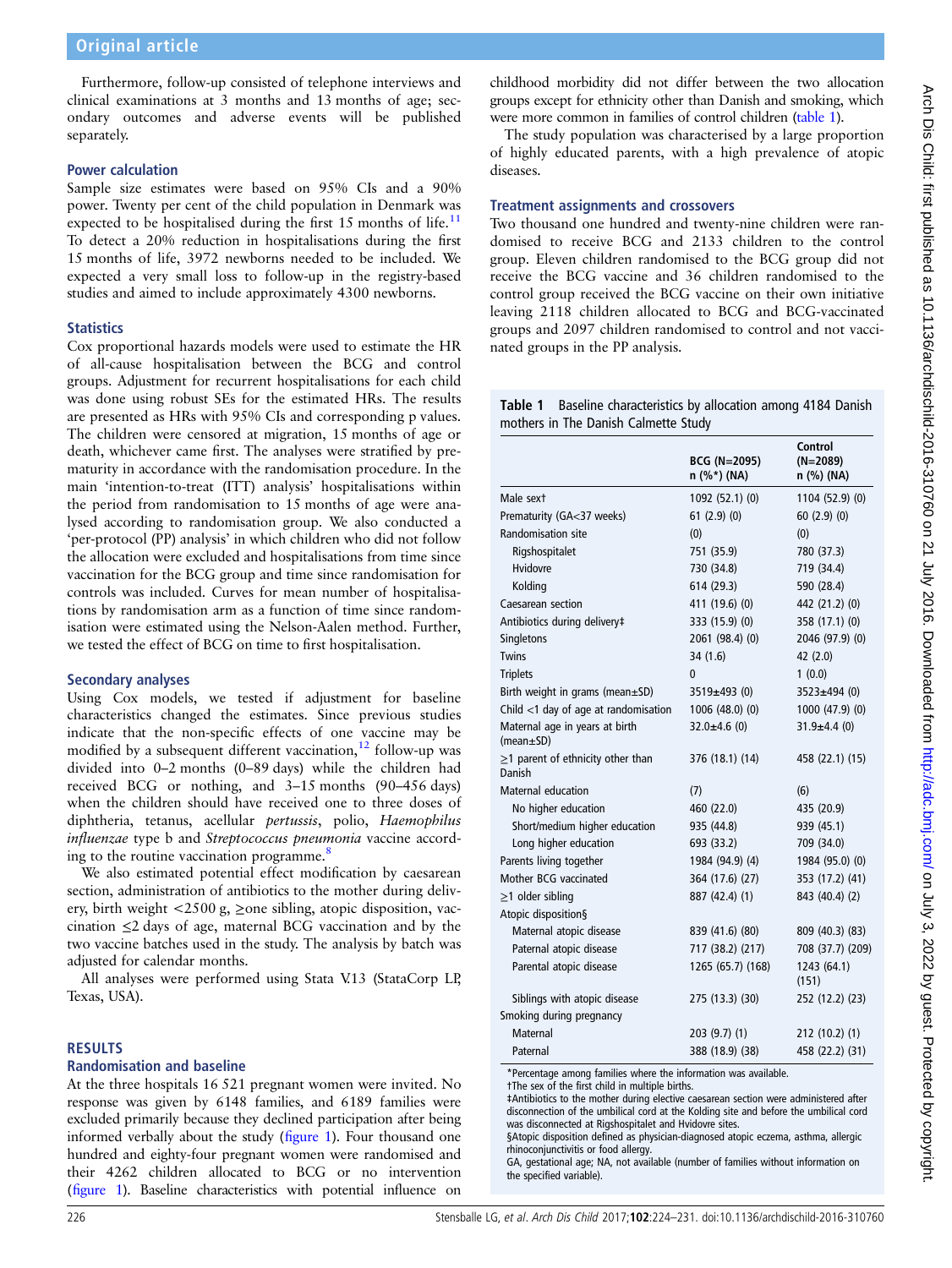Furthermore, follow-up consisted of telephone interviews and clinical examinations at 3 months and 13 months of age; secondary outcomes and adverse events will be published separately.

#### Power calculation

Sample size estimates were based on 95% CIs and a 90% power. Twenty per cent of the child population in Denmark was expected to be hospitalised during the first 15 months of life.<sup>11</sup> To detect a 20% reduction in hospitalisations during the first 15 months of life, 3972 newborns needed to be included. We expected a very small loss to follow-up in the registry-based studies and aimed to include approximately 4300 newborns.

## **Statistics**

Cox proportional hazards models were used to estimate the HR of all-cause hospitalisation between the BCG and control groups. Adjustment for recurrent hospitalisations for each child was done using robust SEs for the estimated HRs. The results are presented as HRs with 95% CIs and corresponding p values. The children were censored at migration, 15 months of age or death, whichever came first. The analyses were stratified by prematurity in accordance with the randomisation procedure. In the main 'intention-to-treat (ITT) analysis' hospitalisations within the period from randomisation to 15 months of age were analysed according to randomisation group. We also conducted a 'per-protocol (PP) analysis' in which children who did not follow the allocation were excluded and hospitalisations from time since vaccination for the BCG group and time since randomisation for controls was included. Curves for mean number of hospitalisations by randomisation arm as a function of time since randomisation were estimated using the Nelson-Aalen method. Further, we tested the effect of BCG on time to first hospitalisation.

## Secondary analyses

Using Cox models, we tested if adjustment for baseline characteristics changed the estimates. Since previous studies indicate that the non-specific effects of one vaccine may be modified by a subsequent different vaccination, $12$  follow-up was divided into 0–2 months (0–89 days) while the children had received BCG or nothing, and 3–15 months (90–456 days) when the children should have received one to three doses of diphtheria, tetanus, acellular pertussis, polio, Haemophilus influenzae type b and Streptococcus pneumonia vaccine accord-ing to the routine vaccination programme.<sup>[8](#page-6-0)</sup>

We also estimated potential effect modification by caesarean section, administration of antibiotics to the mother during delivery, birth weight  $\langle 2500 \text{ g}, \geq 0$  sibling, atopic disposition, vaccination ≤2 days of age, maternal BCG vaccination and by the two vaccine batches used in the study. The analysis by batch was adjusted for calendar months.

All analyses were performed using Stata V.13 (StataCorp LP, Texas, USA).

## RESULTS

#### Randomisation and baseline

At the three hospitals 16 521 pregnant women were invited. No response was given by 6148 families, and 6189 families were excluded primarily because they declined participation after being informed verbally about the study (fi[gure 1\)](#page-1-0). Four thousand one hundred and eighty-four pregnant women were randomised and their 4262 children allocated to BCG or no intervention (fi[gure 1\)](#page-1-0). Baseline characteristics with potential influence on

childhood morbidity did not differ between the two allocation groups except for ethnicity other than Danish and smoking, which were more common in families of control children (table 1).

The study population was characterised by a large proportion of highly educated parents, with a high prevalence of atopic diseases.

#### Treatment assignments and crossovers

Two thousand one hundred and twenty-nine children were randomised to receive BCG and 2133 children to the control group. Eleven children randomised to the BCG group did not receive the BCG vaccine and 36 children randomised to the control group received the BCG vaccine on their own initiative leaving 2118 children allocated to BCG and BCG-vaccinated groups and 2097 children randomised to control and not vaccinated groups in the PP analysis.

Table 1 Baseline characteristics by allocation among 4184 Danish mothers in The Danish Calmette Study

|                                                   | <b>BCG (N=2095)</b><br>n (%*) (NA) | Control<br>(N=2089)<br>n (%) (NA) |
|---------------------------------------------------|------------------------------------|-----------------------------------|
| Male sext                                         | 1092 (52.1) (0)                    | 1104 (52.9) (0)                   |
| Prematurity (GA<37 weeks)                         | 61(2.9)(0)                         | 60(2.9)(0)                        |
| <b>Randomisation site</b>                         | (0)                                | (0)                               |
| Rigshospitalet                                    | 751 (35.9)                         | 780 (37.3)                        |
| Hvidovre                                          | 730 (34.8)                         | 719 (34.4)                        |
| Kolding                                           | 614 (29.3)                         | 590 (28.4)                        |
| Caesarean section                                 | 411 (19.6) (0)                     | 442 (21.2) (0)                    |
| Antibiotics during delivery#                      | 333 (15.9) (0)                     | 358 (17.1) (0)                    |
| Singletons                                        | 2061 (98.4) (0)                    | 2046 (97.9) (0)                   |
| Twins                                             | 34 (1.6)                           | 42 (2.0)                          |
| <b>Triplets</b>                                   | 0                                  | 1(0.0)                            |
| Birth weight in grams (mean±SD)                   | $3519 \pm 493$ (0)                 | 3523±494 (0)                      |
| Child $<$ 1 day of age at randomisation           | 1006 (48.0) (0)                    | 1000 (47.9) (0)                   |
| Maternal age in years at birth<br>$(mean \pm SD)$ | $32.0 \pm 4.6$ (0)                 | $31.9 \pm 4.4$ (0)                |
| $\geq$ 1 parent of ethnicity other than<br>Danish | 376 (18.1) (14)                    | 458 (22.1) (15)                   |
| <b>Maternal education</b>                         | (7)                                | (6)                               |
| No higher education                               | 460 (22.0)                         | 435 (20.9)                        |
| Short/medium higher education                     | 935 (44.8)                         | 939 (45.1)                        |
| Long higher education                             | 693 (33.2)                         | 709 (34.0)                        |
| Parents living together                           | 1984 (94.9) (4)                    | 1984 (95.0) (0)                   |
| Mother BCG vaccinated                             | 364 (17.6) (27)                    | 353 (17.2) (41)                   |
| $\geq$ 1 older sibling                            | 887 (42.4) (1)                     | 843 (40.4) (2)                    |
| Atopic disposition§                               |                                    |                                   |
| Maternal atopic disease                           | 839 (41.6) (80)                    | 809 (40.3) (83)                   |
| Paternal atopic disease                           | 717 (38.2) (217)                   | 708 (37.7) (209)                  |
| Parental atopic disease                           | 1265 (65.7) (168)                  | 1243 (64.1)<br>(151)              |
| Siblings with atopic disease                      | 275 (13.3) (30)                    | 252 (12.2) (23)                   |
| Smoking during pregnancy                          |                                    |                                   |
| <b>Maternal</b>                                   | 203(9.7)(1)                        | 212 (10.2) (1)                    |
| Paternal                                          | 388 (18.9) (38)                    | 458 (22.2) (31)                   |

\*Percentage among families where the information was available.

†The sex of the first child in multiple births.

‡Antibiotics to the mother during elective caesarean section were administered after disconnection of the umbilical cord at the Kolding site and before the umbilical cord was disconnected at Rigshospitalet and Hvidovre sites.

§Atopic disposition defined as physician-diagnosed atopic eczema, asthma, allergic rhinoconjunctivitis or food allergy.

GA, gestational age; NA, not available (number of families without information on the specified variable).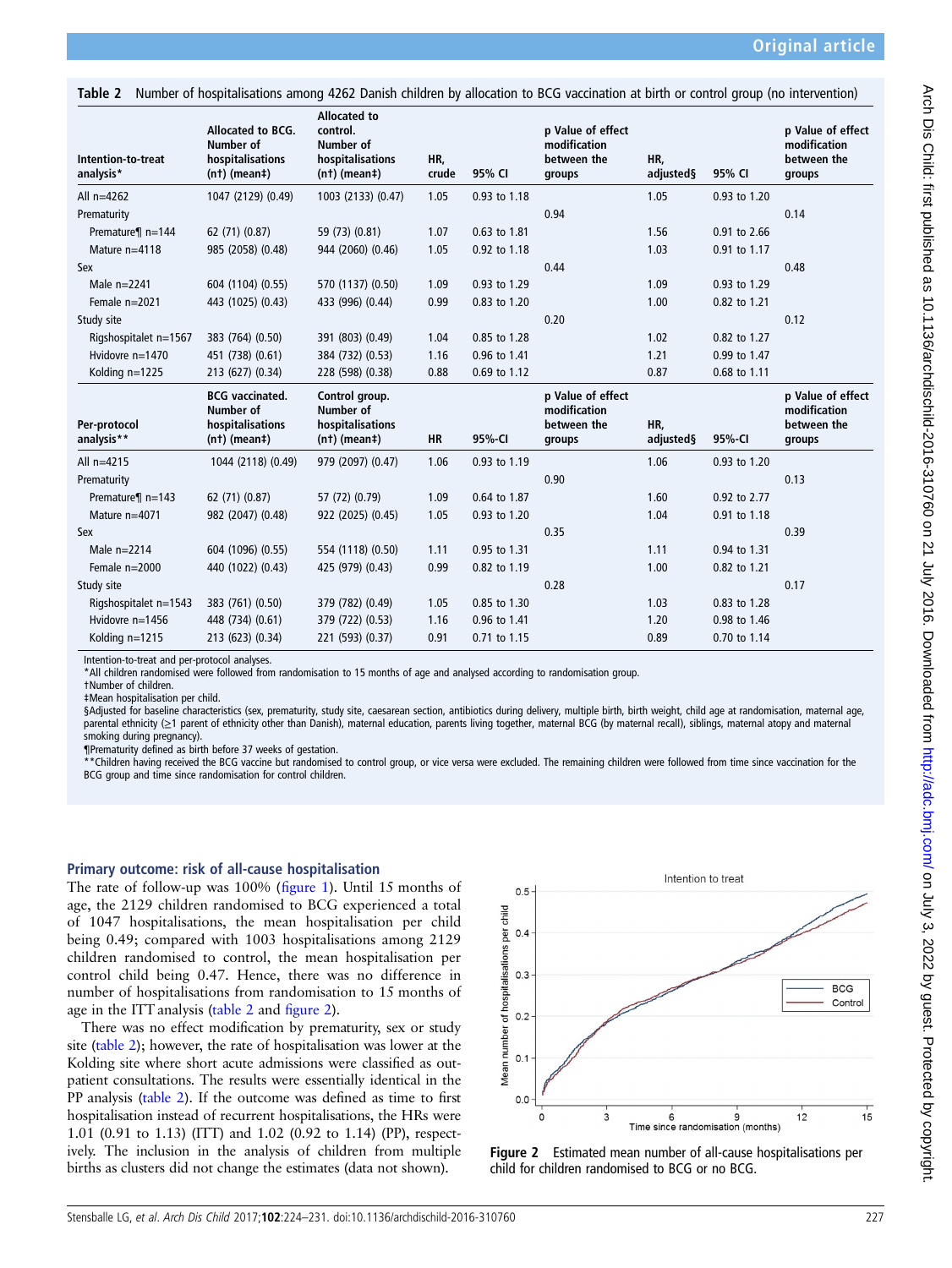Table 2 Number of hospitalisations among 4262 Danish children by allocation to BCG vaccination at birth or control group (no intervention)

| Intention-to-treat<br>analysis* | Allocated to BCG.<br>Number of<br>hospitalisations<br>$(nt)$ (mean‡)      | <b>Allocated to</b><br>control.<br>Number of<br>hospitalisations<br>$(nt)$ (mean‡) | HR,<br>crude | 95% CI       | p Value of effect<br>modification<br>between the<br>groups | HR,<br>adjusted§ | 95% CI       | p Value of effect<br>modification<br>between the<br>groups |
|---------------------------------|---------------------------------------------------------------------------|------------------------------------------------------------------------------------|--------------|--------------|------------------------------------------------------------|------------------|--------------|------------------------------------------------------------|
| All $n=4262$                    | 1047 (2129) (0.49)                                                        | 1003 (2133) (0.47)                                                                 | 1.05         | 0.93 to 1.18 |                                                            | 1.05             | 0.93 to 1.20 |                                                            |
| Prematurity                     |                                                                           |                                                                                    |              |              | 0.94                                                       |                  |              | 0.14                                                       |
| Premature¶ n=144                | 62 (71) (0.87)                                                            | 59 (73) (0.81)                                                                     | 1.07         | 0.63 to 1.81 |                                                            | 1.56             | 0.91 to 2.66 |                                                            |
| Mature n=4118                   | 985 (2058) (0.48)                                                         | 944 (2060) (0.46)                                                                  | 1.05         | 0.92 to 1.18 |                                                            | 1.03             | 0.91 to 1.17 |                                                            |
| Sex                             |                                                                           |                                                                                    |              |              | 0.44                                                       |                  |              | 0.48                                                       |
| Male $n=2241$                   | 604 (1104) (0.55)                                                         | 570 (1137) (0.50)                                                                  | 1.09         | 0.93 to 1.29 |                                                            | 1.09             | 0.93 to 1.29 |                                                            |
| Female $n=2021$                 | 443 (1025) (0.43)                                                         | 433 (996) (0.44)                                                                   | 0.99         | 0.83 to 1.20 |                                                            | 1.00             | 0.82 to 1.21 |                                                            |
| Study site                      |                                                                           |                                                                                    |              |              | 0.20                                                       |                  |              | 0.12                                                       |
| Rigshospitalet n=1567           | 383 (764) (0.50)                                                          | 391 (803) (0.49)                                                                   | 1.04         | 0.85 to 1.28 |                                                            | 1.02             | 0.82 to 1.27 |                                                            |
| Hvidovre n=1470                 | 451 (738) (0.61)                                                          | 384 (732) (0.53)                                                                   | 1.16         | 0.96 to 1.41 |                                                            | 1.21             | 0.99 to 1.47 |                                                            |
| Kolding n=1225                  | 213 (627) (0.34)                                                          | 228 (598) (0.38)                                                                   | 0.88         | 0.69 to 1.12 |                                                            | 0.87             | 0.68 to 1.11 |                                                            |
| Per-protocol<br>analysis**      | <b>BCG</b> vaccinated.<br>Number of<br>hospitalisations<br>$(nt)$ (mean‡) | Control group.<br>Number of<br>hospitalisations<br>$(nt)$ (mean $\ddagger$ )       | <b>HR</b>    | 95%-CI       | p Value of effect<br>modification<br>between the<br>groups | HR,<br>adjusted§ | 95%-CI       | p Value of effect<br>modification<br>between the<br>groups |
| All $n=4215$                    | 1044 (2118) (0.49)                                                        | 979 (2097) (0.47)                                                                  | 1.06         | 0.93 to 1.19 |                                                            | 1.06             | 0.93 to 1.20 |                                                            |
| Prematurity                     |                                                                           |                                                                                    |              |              | 0.90                                                       |                  |              | 0.13                                                       |
| Premature¶ n=143                | 62 (71) (0.87)                                                            | 57 (72) (0.79)                                                                     | 1.09         | 0.64 to 1.87 |                                                            | 1.60             | 0.92 to 2.77 |                                                            |
| Mature n=4071                   | 982 (2047) (0.48)                                                         | 922 (2025) (0.45)                                                                  | 1.05         | 0.93 to 1.20 |                                                            | 1.04             | 0.91 to 1.18 |                                                            |
| Sex                             |                                                                           |                                                                                    |              |              | 0.35                                                       |                  |              | 0.39                                                       |
| Male $n=2214$                   | 604 (1096) (0.55)                                                         | 554 (1118) (0.50)                                                                  | 1.11         | 0.95 to 1.31 |                                                            | 1.11             | 0.94 to 1.31 |                                                            |
| Female n=2000                   | 440 (1022) (0.43)                                                         | 425 (979) (0.43)                                                                   | 0.99         | 0.82 to 1.19 |                                                            | 1.00             | 0.82 to 1.21 |                                                            |
| Study site                      |                                                                           |                                                                                    |              |              | 0.28                                                       |                  |              | 0.17                                                       |
| Rigshospitalet n=1543           | 383 (761) (0.50)                                                          | 379 (782) (0.49)                                                                   | 1.05         | 0.85 to 1.30 |                                                            | 1.03             | 0.83 to 1.28 |                                                            |
| Hvidovre n=1456                 | 448 (734) (0.61)                                                          | 379 (722) (0.53)                                                                   | 1.16         | 0.96 to 1.41 |                                                            | 1.20             | 0.98 to 1.46 |                                                            |
| Kolding $n=1215$                | 213 (623) (0.34)                                                          | 221 (593) (0.37)                                                                   | 0.91         | 0.71 to 1.15 |                                                            | 0.89             | 0.70 to 1.14 |                                                            |

Intention-to-treat and per-protocol analyses.

\*All children randomised were followed from randomisation to 15 months of age and analysed according to randomisation group.

†Number of children.

‡Mean hospitalisation per child.

§Adjusted for baseline characteristics (sex, prematurity, study site, caesarean section, antibiotics during delivery, multiple birth, birth weight, child age at randomisation, maternal age, parental ethnicity (≥1 parent of ethnicity other than Danish), maternal education, parents living together, maternal BCG (by maternal recall), siblings, maternal atopy and maternal smoking during pregnancy).

¶Prematurity defined as birth before 37 weeks of gestation.

\*Children having received the BCG vaccine but randomised to control group, or vice versa were excluded. The remaining children were followed from time since vaccination for the BCG group and time since randomisation for control children.

#### Primary outcome: risk of all-cause hospitalisation

The rate of follow-up was 100% (fi[gure 1](#page-1-0)). Until 15 months of age, the 2129 children randomised to BCG experienced a total of 1047 hospitalisations, the mean hospitalisation per child being 0.49; compared with 1003 hospitalisations among 2129 children randomised to control, the mean hospitalisation per control child being 0.47. Hence, there was no difference in number of hospitalisations from randomisation to 15 months of age in the ITT analysis (table 2 and figure 2).

There was no effect modification by prematurity, sex or study site (table 2); however, the rate of hospitalisation was lower at the Kolding site where short acute admissions were classified as outpatient consultations. The results were essentially identical in the PP analysis (table 2). If the outcome was defined as time to first hospitalisation instead of recurrent hospitalisations, the HRs were 1.01 (0.91 to 1.13) (ITT) and 1.02 (0.92 to 1.14) (PP), respectively. The inclusion in the analysis of children from multiple births as clusters did not change the estimates (data not shown).



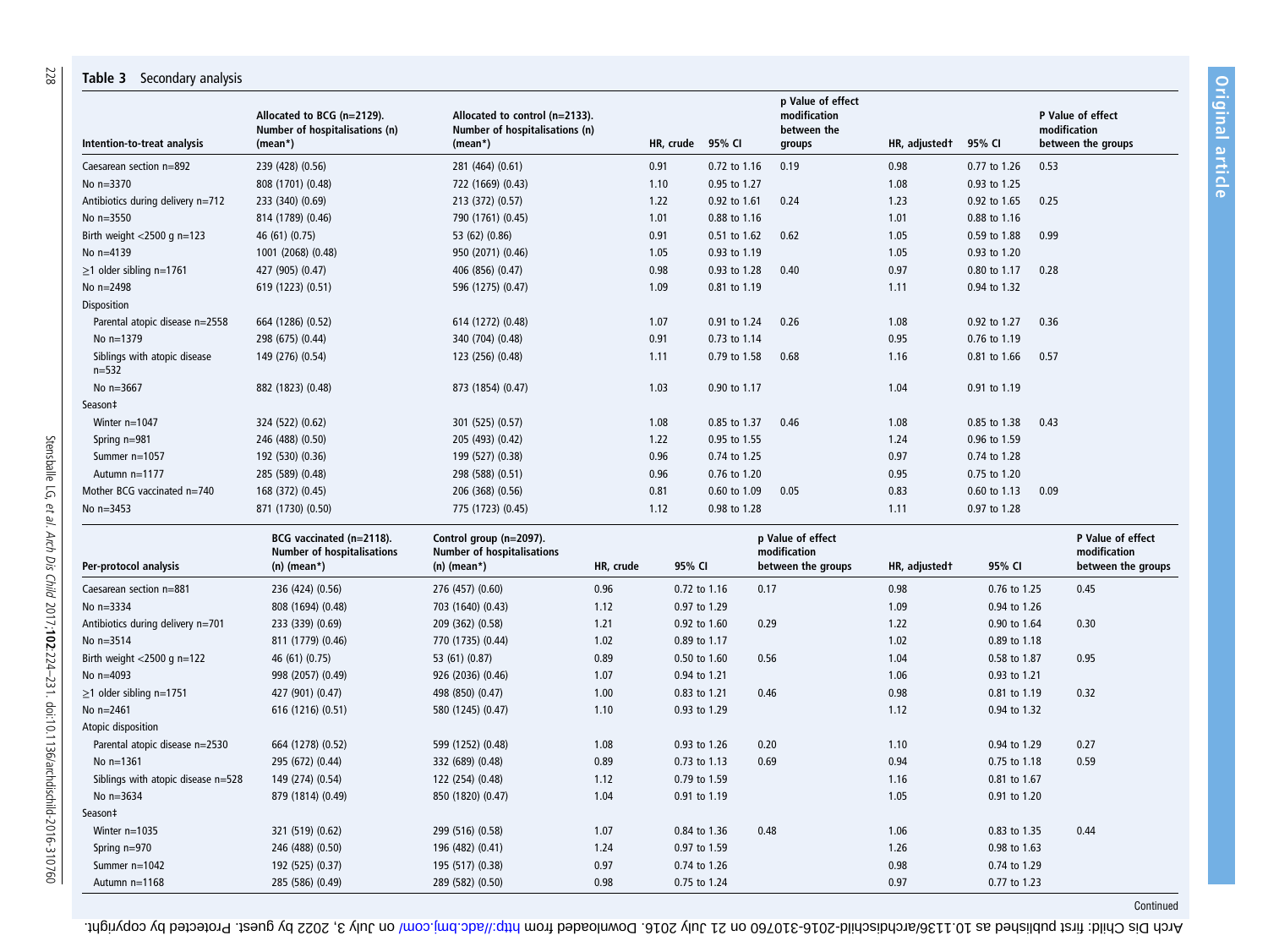| Intention-to-treat analysis             | Allocated to BCG (n=2129).<br>Number of hospitalisations (n)<br>$(mean*)$      | Allocated to control (n=2133).<br>Number of hospitalisations (n)<br>$(mean*)$ |           | HR, crude | 95% CI       | p Value of effect<br>modification<br>between the<br>groups | HR, adjusted t | 95% CI       | modification | P Value of effect<br>between the groups                 |
|-----------------------------------------|--------------------------------------------------------------------------------|-------------------------------------------------------------------------------|-----------|-----------|--------------|------------------------------------------------------------|----------------|--------------|--------------|---------------------------------------------------------|
|                                         |                                                                                |                                                                               |           |           |              |                                                            |                |              |              |                                                         |
| Caesarean section n=892                 | 239 (428) (0.56)                                                               | 281 (464) (0.61)                                                              |           | 0.91      | 0.72 to 1.16 | 0.19                                                       | 0.98           | 0.77 to 1.26 | 0.53         |                                                         |
| No n=3370                               | 808 (1701) (0.48)                                                              | 722 (1669) (0.43)                                                             |           | 1.10      | 0.95 to 1.27 |                                                            | 1.08           | 0.93 to 1.25 |              |                                                         |
| Antibiotics during delivery n=712       | 233 (340) (0.69)                                                               | 213 (372) (0.57)                                                              |           | 1.22      | 0.92 to 1.61 | 0.24                                                       | 1.23           | 0.92 to 1.65 | 0.25         |                                                         |
| No n=3550                               | 814 (1789) (0.46)                                                              | 790 (1761) (0.45)                                                             |           | 1.01      | 0.88 to 1.16 |                                                            | 1.01           | 0.88 to 1.16 |              |                                                         |
| Birth weight $<$ 2500 g n=123           | 46 (61) (0.75)                                                                 | 53 (62) (0.86)                                                                |           | 0.91      | 0.51 to 1.62 | 0.62                                                       | 1.05           | 0.59 to 1.88 | 0.99         |                                                         |
| No n=4139                               | 1001 (2068) (0.48)                                                             | 950 (2071) (0.46)                                                             |           | 1.05      | 0.93 to 1.19 |                                                            | 1.05           | 0.93 to 1.20 |              |                                                         |
| $\geq$ 1 older sibling n=1761           | 427 (905) (0.47)                                                               | 406 (856) (0.47)                                                              |           | 0.98      | 0.93 to 1.28 | 0.40                                                       | 0.97           | 0.80 to 1.17 | 0.28         |                                                         |
| No n=2498                               | 619 (1223) (0.51)                                                              | 596 (1275) (0.47)                                                             |           | 1.09      | 0.81 to 1.19 |                                                            | 1.11           | 0.94 to 1.32 |              |                                                         |
| Disposition                             |                                                                                |                                                                               |           |           |              |                                                            |                |              |              |                                                         |
| Parental atopic disease n=2558          | 664 (1286) (0.52)                                                              | 614 (1272) (0.48)                                                             |           | 1.07      | 0.91 to 1.24 | 0.26                                                       | 1.08           | 0.92 to 1.27 | 0.36         |                                                         |
| No n=1379                               | 298 (675) (0.44)                                                               | 340 (704) (0.48)                                                              |           | 0.91      | 0.73 to 1.14 |                                                            | 0.95           | 0.76 to 1.19 |              |                                                         |
| Siblings with atopic disease<br>$n=532$ | 149 (276) (0.54)                                                               | 123 (256) (0.48)                                                              |           | 1.11      | 0.79 to 1.58 | 0.68                                                       | 1.16           | 0.81 to 1.66 | 0.57         |                                                         |
| No n=3667                               | 882 (1823) (0.48)                                                              | 873 (1854) (0.47)                                                             |           | 1.03      | 0.90 to 1.17 |                                                            | 1.04           | 0.91 to 1.19 |              |                                                         |
| Season‡                                 |                                                                                |                                                                               |           |           |              |                                                            |                |              |              |                                                         |
| Winter n=1047                           | 324 (522) (0.62)                                                               | 301 (525) (0.57)                                                              |           | 1.08      | 0.85 to 1.37 | 0.46                                                       | 1.08           | 0.85 to 1.38 | 0.43         |                                                         |
| Spring n=981                            | 246 (488) (0.50)                                                               | 205 (493) (0.42)                                                              |           | 1.22      | 0.95 to 1.55 |                                                            | 1.24           | 0.96 to 1.59 |              |                                                         |
| Summer n=1057                           | 192 (530) (0.36)                                                               | 199 (527) (0.38)                                                              |           | 0.96      | 0.74 to 1.25 |                                                            | 0.97           | 0.74 to 1.28 |              |                                                         |
| Autumn n=1177                           | 285 (589) (0.48)                                                               | 298 (588) (0.51)                                                              |           | 0.96      | 0.76 to 1.20 |                                                            | 0.95           | 0.75 to 1.20 |              |                                                         |
| Mother BCG vaccinated n=740             | 168 (372) (0.45)                                                               | 206 (368) (0.56)                                                              |           | 0.81      | 0.60 to 1.09 | 0.05                                                       | 0.83           | 0.60 to 1.13 | 0.09         |                                                         |
| No n=3453                               | 871 (1730) (0.50)                                                              | 775 (1723) (0.45)                                                             |           | 1.12      | 0.98 to 1.28 |                                                            | 1.11           | 0.97 to 1.28 |              |                                                         |
| Per-protocol analysis                   | BCG vaccinated (n=2118).<br><b>Number of hospitalisations</b><br>$(n)$ (mean*) | Control group (n=2097).<br><b>Number of hospitalisations</b><br>$(n)$ (mean*) | HR, crude | 95% CI    |              | p Value of effect<br>modification<br>between the groups    | HR, adjustedt  | 95% CI       |              | P Value of effect<br>modification<br>between the groups |
| Caesarean section n=881                 | 236 (424) (0.56)                                                               | 276 (457) (0.60)                                                              | 0.96      |           | 0.72 to 1.16 | 0.17                                                       | 0.98           | 0.76 to 1.25 |              | 0.45                                                    |
| No n=3334                               | 808 (1694) (0.48)                                                              | 703 (1640) (0.43)                                                             | 1.12      |           | 0.97 to 1.29 |                                                            | 1.09           | 0.94 to 1.26 |              |                                                         |
| Antibiotics during delivery n=701       | 233 (339) (0.69)                                                               | 209 (362) (0.58)                                                              | 1.21      |           | 0.92 to 1.60 | 0.29                                                       | 1.22           | 0.90 to 1.64 |              | 0.30                                                    |
| No n=3514                               | 811 (1779) (0.46)                                                              | 770 (1735) (0.44)                                                             | 1.02      |           | 0.89 to 1.17 |                                                            | 1.02           | 0.89 to 1.18 |              |                                                         |
| Birth weight $<$ 2500 g n=122           | 46 (61) (0.75)                                                                 | 53 (61) (0.87)                                                                | 0.89      |           | 0.50 to 1.60 | 0.56                                                       | 1.04           | 0.58 to 1.87 |              | 0.95                                                    |
| No n=4093                               | 998 (2057) (0.49)                                                              | 926 (2036) (0.46)                                                             | 1.07      |           | 0.94 to 1.21 |                                                            | 1.06           | 0.93 to 1.21 |              |                                                         |
| $\geq$ 1 older sibling n=1751           | 427 (901) (0.47)                                                               | 498 (850) (0.47)                                                              | 1.00      |           | 0.83 to 1.21 | 0.46                                                       | 0.98           | 0.81 to 1.19 |              | 0.32                                                    |
| No n=2461                               | 616 (1216) (0.51)                                                              | 580 (1245) (0.47)                                                             | 1.10      |           | 0.93 to 1.29 |                                                            | 1.12           | 0.94 to 1.32 |              |                                                         |
| Atopic disposition                      |                                                                                |                                                                               |           |           |              |                                                            |                |              |              |                                                         |
| Parental atopic disease n=2530          | 664 (1278) (0.52)                                                              | 599 (1252) (0.48)                                                             | 1.08      |           | 0.93 to 1.26 | 0.20                                                       | 1.10           | 0.94 to 1.29 |              | 0.27                                                    |
| No n=1361                               | 295 (672) (0.44)                                                               | 332 (689) (0.48)                                                              | 0.89      |           | 0.73 to 1.13 | 0.69                                                       | 0.94           | 0.75 to 1.18 |              | 0.59                                                    |
| Siblings with atopic disease n=528      | 149 (274) (0.54)                                                               | 122 (254) (0.48)                                                              | 1.12      |           | 0.79 to 1.59 |                                                            | 1.16           | 0.81 to 1.67 |              |                                                         |
| No n=3634                               | 879 (1814) (0.49)                                                              | 850 (1820) (0.47)                                                             | 1.04      |           | 0.91 to 1.19 |                                                            | 1.05           | 0.91 to 1.20 |              |                                                         |
| Season‡                                 |                                                                                |                                                                               |           |           |              |                                                            |                |              |              |                                                         |
| Winter n=1035                           | 321 (519) (0.62)                                                               | 299 (516) (0.58)                                                              | 1.07      |           | 0.84 to 1.36 | 0.48                                                       | 1.06           | 0.83 to 1.35 |              | 0.44                                                    |
| Spring n=970                            | 246 (488) (0.50)                                                               | 196 (482) (0.41)                                                              | 1.24      |           | 0.97 to 1.59 |                                                            | 1.26           | 0.98 to 1.63 |              |                                                         |
| Summer n=1042                           | 192 (525) (0.37)                                                               | 195 (517) (0.38)                                                              | 0.97      |           | 0.74 to 1.26 |                                                            | 0.98           | 0.74 to 1.29 |              |                                                         |
|                                         |                                                                                |                                                                               | 0.98      |           |              |                                                            | 0.97           | 0.77 to 1.23 |              |                                                         |
| Autumn n=1168                           | 285 (586) (0.49)                                                               | 289 (582) (0.50)                                                              |           |           | 0.75 to 1.24 |                                                            |                |              |              |                                                         |

Table 3 Secondary analysis

Continued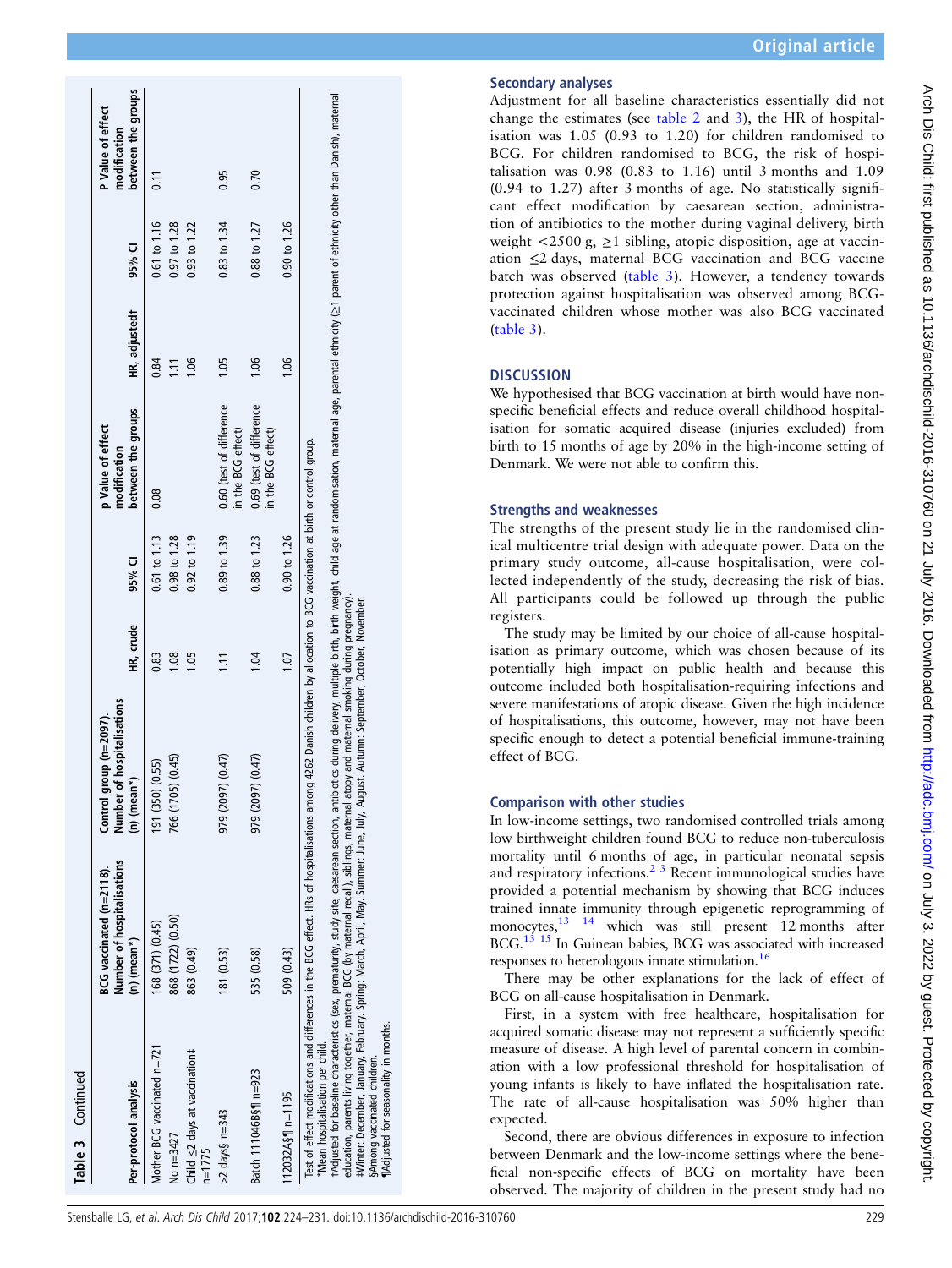| Table 3 Continued                                              | $BCG$ vaccinated (n= $2118$ ).                                                                                                                                                                                                                                                                                                                                                                                                                                                                                                                                                                                                                     | Control                                                      |           |                         | p Value of effect                              |                  |                         | P Value of effect                  |
|----------------------------------------------------------------|----------------------------------------------------------------------------------------------------------------------------------------------------------------------------------------------------------------------------------------------------------------------------------------------------------------------------------------------------------------------------------------------------------------------------------------------------------------------------------------------------------------------------------------------------------------------------------------------------------------------------------------------------|--------------------------------------------------------------|-----------|-------------------------|------------------------------------------------|------------------|-------------------------|------------------------------------|
| Per-protocol analysis                                          | Number of hospitalisations<br>$(n)$ (mean*)                                                                                                                                                                                                                                                                                                                                                                                                                                                                                                                                                                                                        | Number of hospitalisations<br>group (n=2097).<br>(n) (mean*) | HR, crude | 95% CI                  | between the groups<br>modification             | HR, adjustedt    | 95% CI                  | between the groups<br>modification |
| Mother BCG vaccinated n=721                                    | 168 (371) (0.45)                                                                                                                                                                                                                                                                                                                                                                                                                                                                                                                                                                                                                                   | 191 (350) (0.55)                                             | 0.83      | $0.61$ to $1.13$        | 0.08                                           | 0.84             | $0.61$ to $1.16$        | $\overline{11}$                    |
| No n=3427                                                      | 868 (1722) (0.50)                                                                                                                                                                                                                                                                                                                                                                                                                                                                                                                                                                                                                                  | 766 (1705) (0.45)                                            | 1.08      | $0.98$ to $1.28$        |                                                | $\overline{111}$ | 0.97 to 1.28            |                                    |
| Child ≤2 days at vaccination#<br>$n = 1775$                    | 863 (0.49)                                                                                                                                                                                                                                                                                                                                                                                                                                                                                                                                                                                                                                         |                                                              | 1.05      | $0.92$ to $1.19$        |                                                | 1.06             | 0.93 to 1.22            |                                    |
| $>2$ days§ n=343                                               | 181 (0.53)                                                                                                                                                                                                                                                                                                                                                                                                                                                                                                                                                                                                                                         | 979 (2097) (0.47)                                            |           | $0.89$ to $1.39$        | 0.60 (test of difference<br>in the BCG effect) | 105              | 0.83 to 1.34            | 0.95                               |
| Batch 111046B§¶ n=923                                          | 535 (0.58)                                                                                                                                                                                                                                                                                                                                                                                                                                                                                                                                                                                                                                         | 979 (2097) (0.47)                                            | 1.04      | 0.88 to 1.23            | 0.69 (test of difference<br>in the BCG effect) | 106              | 0.88 to 1.27            | 0.70                               |
| $112032A\S$ n=1195                                             | 509 (0.43)                                                                                                                                                                                                                                                                                                                                                                                                                                                                                                                                                                                                                                         |                                                              | 1.07      | $0.90 \text{ to } 1.26$ |                                                | 1.06             | $0.90 \text{ to } 1.26$ |                                    |
| Mean hospitalisation per child.<br>§Among vaccinated children. | rAdjusted for baseline characteristics (sex, prematurity, study site, caesarean section, antibiotics during delivery, multiple birth, birth weight, child age ar randomisation, maternal age, parental ethnicity (≥1 parent of<br>Test of effect modifications and differences in the BCG effect. HRs of hospitalisations among 4262 Danish children by allocation to BCG vaccination at birth or control group.<br>FWinter: December, January, February. Spring: March, April, May. Summer: June, July, August. Autumn: September, October, November.<br>education, parents living together, matemal BCG (by maternal recall), siblings, maternal | atopy and maternal smoking during pregnancy).                |           |                         |                                                |                  |                         |                                    |

# Secondary analyses

Adjustment for all baseline characteristics essentially did not change the estimates (see table 2 and 3), the HR of hospitalisation was 1.05 (0.93 to 1.20) for children randomised to BCG. For children randomised to BCG, the risk of hospitalisation was 0.98 (0.83 to 1.16) until 3 months and 1.09 (0.94 to 1.27) after 3 months of age. No statistically significant effect modification by caesarean section, administration of antibiotics to the mother during vaginal delivery, birth weight  $\langle 2500 \text{ g}, \geq 1 \text{ sibling}$ , atopic disposition, age at vaccination ≤2 days, maternal BCG vaccination and BCG vaccine batch was observed (table 3). However, a tendency towards protection against hospitalisation was observed among BCGvaccinated children whose mother was also BCG vaccinated (table 3).

# **DISCUSSION**

We hypothesised that BCG vaccination at birth would have nonspecific beneficial effects and reduce overall childhood hospitalisation for somatic acquired disease (injuries excluded) from birth to 15 months of age by 20% in the high-income setting of Denmark. We were not able to confirm this.

# Strengths and weaknesses

The strengths of the present study lie in the randomised clinical multicentre trial design with adequate power. Data on the primary study outcome, all-cause hospitalisation, were collected independently of the study, decreasing the risk of bias. All participants could be followed up through the public registers.

The study may be limited by our choice of all-cause hospitalisation as primary outcome, which was chosen because of its potentially high impact on public health and because this outcome included both hospitalisation-requiring infections and severe manifestations of atopic disease. Given the high incidence of hospitalisations, this outcome, however, may not have been specific enough to detect a potential beneficial immune-training effect of BCG.

# Comparison with other studies

In low-income settings, two randomised controlled trials among low birthweight children found BCG to reduce non-tuberculosis mortality until 6 months of age, in particular neonatal sepsis and respiratory infections.<sup>2</sup><sup>3</sup> Recent immunological studies have provided a potential mechanism by showing that BCG induces trained innate immunity through epigenetic reprogramming of monocytes,<sup>13</sup> <sup>14</sup> which was still present 12 months after BCG.<sup>[13 15](#page-6-0)</sup> In Guinean babies, BCG was associated with increased responses to heterologous innate stimulation.<sup>[16](#page-6-0)</sup>

There may be other explanations for the lack of effect of BCG on all-cause hospitalisation in Denmark.

First, in a system with free healthcare, hospitalisation for acquired somatic disease may not represent a sufficiently specific measure of disease. A high level of parental concern in combination with a low professional threshold for hospitalisation of young infants is likely to have inflated the hospitalisation rate. The rate of all-cause hospitalisation was 50% higher than expected.

Second, there are obvious differences in exposure to infection between Denmark and the low-income settings where the beneficial non-specific effects of BCG on mortality have been observed. The majority of children in the present study had no

§Among vaccinated children. ¶Adjusted for seasonality in months.

for seasonality in months children.

g<br>ter SAmong **TAdiuste**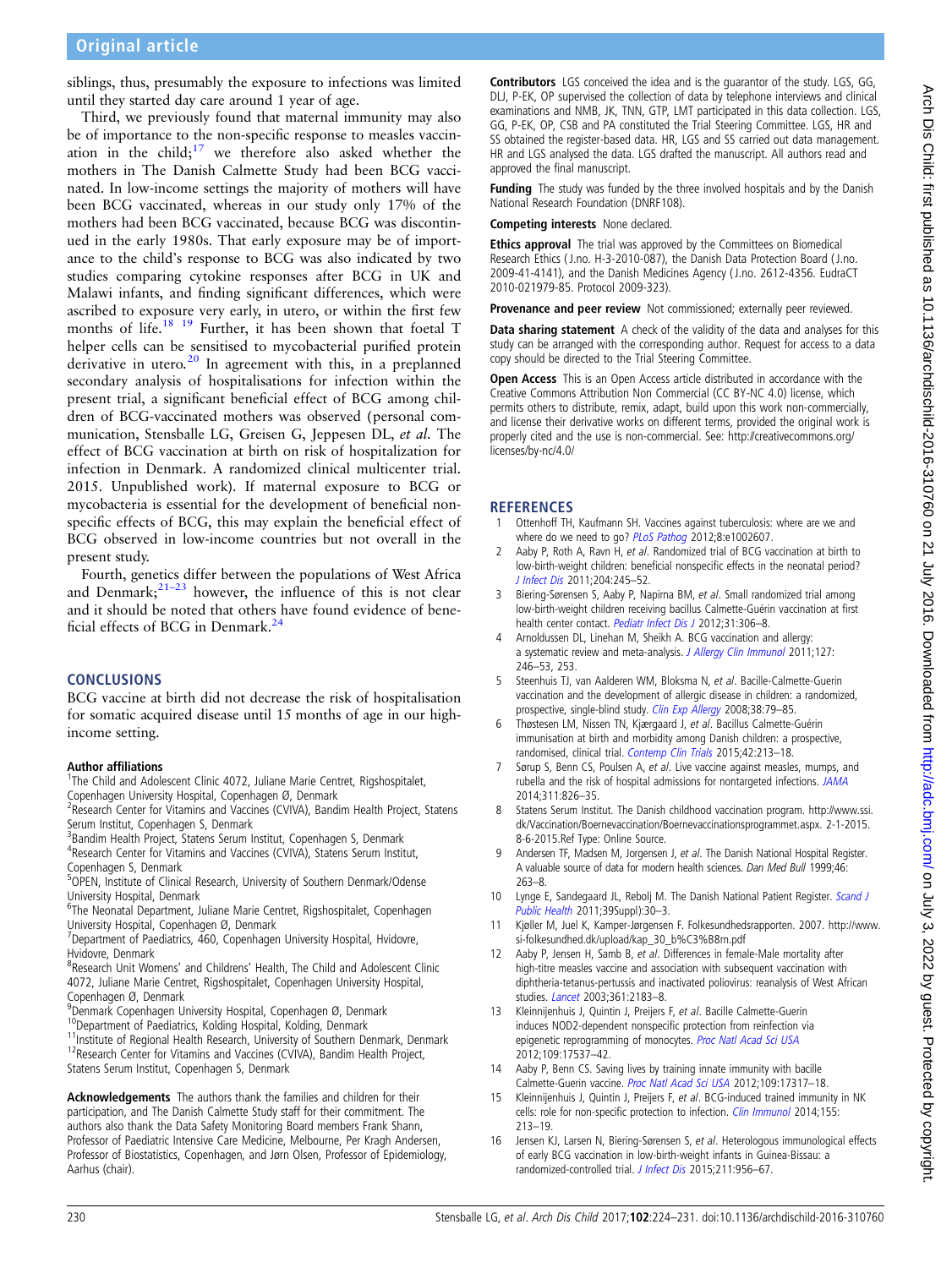<span id="page-6-0"></span>siblings, thus, presumably the exposure to infections was limited until they started day care around 1 year of age.

Third, we previously found that maternal immunity may also be of importance to the non-specific response to measles vaccination in the child; $17$  we therefore also asked whether the mothers in The Danish Calmette Study had been BCG vaccinated. In low-income settings the majority of mothers will have been BCG vaccinated, whereas in our study only 17% of the mothers had been BCG vaccinated, because BCG was discontinued in the early 1980s. That early exposure may be of importance to the child's response to BCG was also indicated by two studies comparing cytokine responses after BCG in UK and Malawi infants, and finding significant differences, which were ascribed to exposure very early, in utero, or within the first few months of life.<sup>18</sup> <sup>19</sup> Further, it has been shown that foetal T helper cells can be sensitised to mycobacterial purified protein derivative in utero.<sup>[20](#page-7-0)</sup> In agreement with this, in a preplanned secondary analysis of hospitalisations for infection within the present trial, a significant beneficial effect of BCG among children of BCG-vaccinated mothers was observed (personal communication, Stensballe LG, Greisen G, Jeppesen DL, et al. The effect of BCG vaccination at birth on risk of hospitalization for infection in Denmark. A randomized clinical multicenter trial. 2015. Unpublished work). If maternal exposure to BCG or mycobacteria is essential for the development of beneficial nonspecific effects of BCG, this may explain the beneficial effect of BCG observed in low-income countries but not overall in the present study.

Fourth, genetics differ between the populations of West Africa and Denmark; $^{21-23}$  $^{21-23}$  $^{21-23}$  however, the influence of this is not clear and it should be noted that others have found evidence of beneficial effects of BCG in Denmark.[24](#page-7-0)

#### **CONCLUSIONS**

BCG vaccine at birth did not decrease the risk of hospitalisation for somatic acquired disease until 15 months of age in our highincome setting.

#### Author affiliations <sup>1</sup>

<sup>1</sup>The Child and Adolescent Clinic 4072, Juliane Marie Centret, Rigshospitalet, Copenhagen University Hospital, Copenhagen Ø, Denmark

- <sup>2</sup> Research Center for Vitamins and Vaccines (CVIVA), Bandim Health Project, Statens Serum Institut, Copenhagen S, Denmark
- <sup>3</sup>Bandim Health Project, Statens Serum Institut, Copenhagen S, Denmark

4 Research Center for Vitamins and Vaccines (CVIVA), Statens Serum Institut, Copenhagen S, Denmark

<sup>5</sup>OPEN, Institute of Clinical Research, University of Southern Denmark/Odense University Hospital, Denmark

<sup>6</sup>The Neonatal Department, Juliane Marie Centret, Rigshospitalet, Copenhagen University Hospital, Copenhagen Ø, Denmark

<sup>7</sup>Department of Paediatrics, 460, Copenhagen University Hospital, Hvidovre, Hvidovre, Denmark

<sup>8</sup>Research Unit Womens' and Childrens' Health, The Child and Adolescent Clinic 4072, Juliane Marie Centret, Rigshospitalet, Copenhagen University Hospital, Copenhagen Ø, Denmark

9 Denmark Copenhagen University Hospital, Copenhagen Ø, Denmark

<sup>10</sup>Department of Paediatrics, Kolding Hospital, Kolding, Denmark<br><sup>11</sup>Institute of Regional Health Research, University of Southern Denmark, Denmark<br><sup>12</sup>Research Center for Vitamins and Vaccines (CVIVA), Bandim Health Pro Statens Serum Institut, Copenhagen S, Denmark

Acknowledgements The authors thank the families and children for their participation, and The Danish Calmette Study staff for their commitment. The authors also thank the Data Safety Monitoring Board members Frank Shann, Professor of Paediatric Intensive Care Medicine, Melbourne, Per Kragh Andersen, Professor of Biostatistics, Copenhagen, and Jørn Olsen, Professor of Epidemiology, Aarhus (chair).

Contributors LGS conceived the idea and is the guarantor of the study. LGS, GG, DLJ, P-EK, OP supervised the collection of data by telephone interviews and clinical examinations and NMB, JK, TNN, GTP, LMT participated in this data collection. LGS, GG, P-EK, OP, CSB and PA constituted the Trial Steering Committee. LGS, HR and SS obtained the register-based data. HR, LGS and SS carried out data management. HR and LGS analysed the data. LGS drafted the manuscript. All authors read and approved the final manuscript.

Funding The study was funded by the three involved hospitals and by the Danish National Research Foundation (DNRF108).

Competing interests None declared.

Ethics approval The trial was approved by the Committees on Biomedical Research Ethics ( J.no. H-3-2010-087), the Danish Data Protection Board ( J.no. 2009-41-4141), and the Danish Medicines Agency ( J.no. 2612-4356. EudraCT 2010-021979-85. Protocol 2009-323).

Provenance and peer review Not commissioned; externally peer reviewed.

Data sharing statement A check of the validity of the data and analyses for this study can be arranged with the corresponding author. Request for access to a data copy should be directed to the Trial Steering Committee.

Open Access This is an Open Access article distributed in accordance with the Creative Commons Attribution Non Commercial (CC BY-NC 4.0) license, which permits others to distribute, remix, adapt, build upon this work non-commercially, and license their derivative works on different terms, provided the original work is properly cited and the use is non-commercial. See: [http://creativecommons.org/](http://creativecommons.org/licenses/by-nc/4.0/) [licenses/by-nc/4.0/](http://creativecommons.org/licenses/by-nc/4.0/)

#### **REFERENCES**

- Ottenhoff TH, Kaufmann SH. Vaccines against tuberculosis: where are we and where do we need to go? [PLoS Pathog](http://dx.doi.org/10.1371/journal.ppat.1002607) 2012;8:e1002607.
- 2 Aaby P, Roth A, Ravn H, et al. Randomized trial of BCG vaccination at birth to low-birth-weight children: beneficial nonspecific effects in the neonatal period? [J Infect Dis](http://dx.doi.org/10.1093/infdis/jir240) 2011;204:245–52.
- 3 Biering-Sørensen S, Aaby P, Napirna BM, et al. Small randomized trial among low-birth-weight children receiving bacillus Calmette-Guérin vaccination at first health center contact. [Pediatr Infect Dis J](http://dx.doi.org/10.1097/INF.0b013e3182458289) 2012;31:306-8.
- 4 Arnoldussen DL, Linehan M, Sheikh A. BCG vaccination and allergy: a systematic review and meta-analysis. [J Allergy Clin Immunol](http://dx.doi.org/10.1016/j.jaci.2010.07.039) 2011;127: 246–53, 253.
- 5 Steenhuis TJ, van Aalderen WM, Bloksma N, et al. Bacille-Calmette-Guerin vaccination and the development of allergic disease in children: a randomized, prospective, single-blind study. [Clin Exp Allergy](http://dx.doi.org/10.1111/j.1365-2222.2007.02859.x) 2008;38:79-85.
- Thøstesen LM, Nissen TN, Kjærgaard J, et al. Bacillus Calmette-Guérin immunisation at birth and morbidity among Danish children: a prospective, randomised, clinical trial. [Contemp Clin Trials](http://dx.doi.org/10.1016/j.cct.2015.04.006) 2015;42:213–18.
- 7 Sørup S, Benn CS, Poulsen A, et al. Live vaccine against measles, mumps, and rubella and the risk of hospital admissions for nontargeted infections. [JAMA](http://dx.doi.org/10.1001/jama.2014.470) 2014;311:826–35.
- 8 Statens Serum Institut. The Danish childhood vaccination program. [http://www.ssi.](http://www.ssi.dk/Vaccination/Boernevaccination/Boernevaccinationsprogrammet.aspx) [dk/Vaccination/Boernevaccination/Boernevaccinationsprogrammet.aspx.](http://www.ssi.dk/Vaccination/Boernevaccination/Boernevaccinationsprogrammet.aspx) 2-1-2015. 8-6-2015.Ref Type: Online Source.
- 9 Andersen TF, Madsen M, Jorgensen J, et al. The Danish National Hospital Register. A valuable source of data for modern health sciences. Dan Med Bull 1999;46: 263–8.
- 10 Lynge E, Sandegaard JL, Rebolj M. The Danish National Patient Register. [Scand J](http://dx.doi.org/10.1177/1403494811401482) [Public Health](http://dx.doi.org/10.1177/1403494811401482) 2011;39Suppl):30–3.
- 11 Kjøller M, Juel K, Kamper-Jørgensen F. Folkesundhedsrapporten. 2007. [http://www.](http://www.si-folkesundhed.dk/upload/kap_30_b%C3%B8rn.pdf) [si-folkesundhed.dk/upload/kap\\_30\\_b%C3%B8rn.pdf](http://www.si-folkesundhed.dk/upload/kap_30_b%C3%B8rn.pdf)
- 12 Aaby P, Jensen H, Samb B, et al. Differences in female-Male mortality after high-titre measles vaccine and association with subsequent vaccination with diphtheria-tetanus-pertussis and inactivated poliovirus: reanalysis of West African studies. [Lancet](http://dx.doi.org/10.1016/S0140-6736(03)13771-3) 2003;361:2183-8.
- 13 Kleinnijenhuis J, Quintin J, Preijers F, et al. Bacille Calmette-Guerin induces NOD2-dependent nonspecific protection from reinfection via epigenetic reprogramming of monocytes. [Proc Natl Acad Sci USA](http://dx.doi.org/10.1073/pnas.1202870109) 2012;109:17537–42.
- 14 Aaby P, Benn CS. Saving lives by training innate immunity with bacille Calmette-Guerin vaccine. [Proc Natl Acad Sci USA](http://dx.doi.org/10.1073/pnas.1215761109) 2012;109:17317–18.
- 15 Kleinnijenhuis J, Quintin J, Preijers F, et al. BCG-induced trained immunity in NK cells: role for non-specific protection to infection. *[Clin Immunol](http://dx.doi.org/10.1016/j.clim.2014.10.005)* 2014;155: 213–19.
- 16 Jensen KJ, Larsen N, Biering-Sørensen S, et al. Heterologous immunological effects of early BCG vaccination in low-birth-weight infants in Guinea-Bissau: a randomized-controlled trial. [J Infect Dis](http://dx.doi.org/10.1093/infdis/jiu508) 2015;211:956-67.